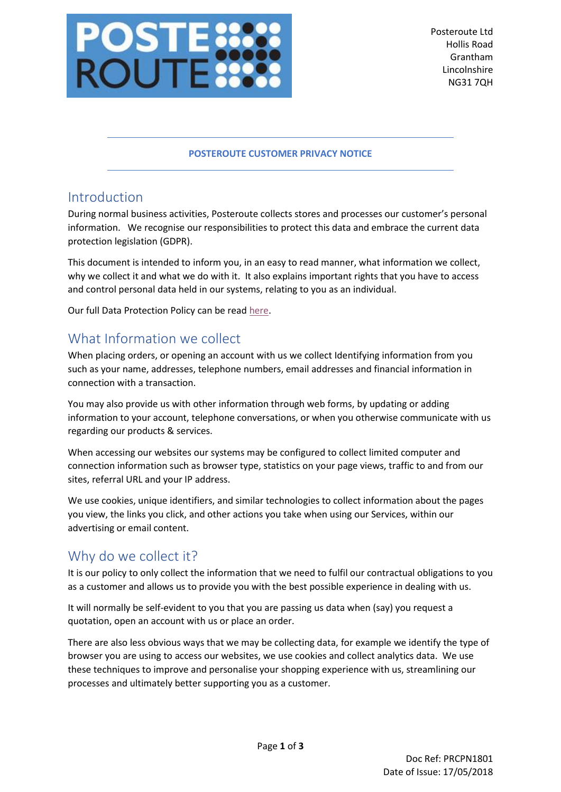

Posteroute Ltd Hollis Road Grantham Lincolnshire NG31 7QH

#### **POSTEROUTE CUSTOMER PRIVACY NOTICE**

#### Introduction

During normal business activities, Posteroute collects stores and processes our customer's personal information. We recognise our responsibilities to protect this data and embrace the current data protection legislation (GDPR).

This document is intended to inform you, in an easy to read manner, what information we collect, why we collect it and what we do with it. It also explains important rights that you have to access and control personal data held in our systems, relating to you as an individual.

Our full Data Protection Policy can be rea[d here.](http://www.posteroute.com/policies/Postroute%20Data%20Protection%20Policy.pdf)

### What Information we collect

When placing orders, or opening an account with us we collect Identifying information from you such as your name, addresses, telephone numbers, email addresses and financial information in connection with a transaction.

You may also provide us with other information through web forms, by updating or adding information to your account, telephone conversations, or when you otherwise communicate with us regarding our products & services.

When accessing our websites our systems may be configured to collect limited computer and connection information such as browser type, statistics on your page views, traffic to and from our sites, referral URL and your IP address.

We use cookies, unique identifiers, and similar technologies to collect information about the pages you view, the links you click, and other actions you take when using our Services, within our advertising or email content.

# Why do we collect it?

It is our policy to only collect the information that we need to fulfil our contractual obligations to you as a customer and allows us to provide you with the best possible experience in dealing with us.

It will normally be self-evident to you that you are passing us data when (say) you request a quotation, open an account with us or place an order.

There are also less obvious ways that we may be collecting data, for example we identify the type of browser you are using to access our websites, we use cookies and collect analytics data. We use these techniques to improve and personalise your shopping experience with us, streamlining our processes and ultimately better supporting you as a customer.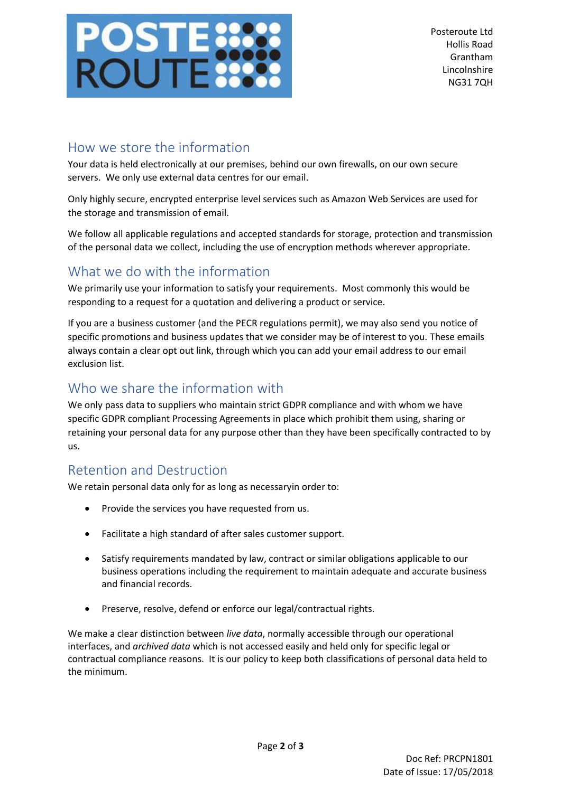

### How we store the information

Your data is held electronically at our premises, behind our own firewalls, on our own secure servers. We only use external data centres for our email.

Only highly secure, encrypted enterprise level services such as Amazon Web Services are used for the storage and transmission of email.

We follow all applicable regulations and accepted standards for storage, protection and transmission of the personal data we collect, including the use of encryption methods wherever appropriate.

# What we do with the information

We primarily use your information to satisfy your requirements. Most commonly this would be responding to a request for a quotation and delivering a product or service.

If you are a business customer (and the PECR regulations permit), we may also send you notice of specific promotions and business updates that we consider may be of interest to you. These emails always contain a clear opt out link, through which you can add your email address to our email exclusion list.

## Who we share the information with

We only pass data to suppliers who maintain strict GDPR compliance and with whom we have specific GDPR compliant Processing Agreements in place which prohibit them using, sharing or retaining your personal data for any purpose other than they have been specifically contracted to by us.

# Retention and Destruction

We retain personal data only for as long as necessaryin order to:

- Provide the services you have requested from us.
- Facilitate a high standard of after sales customer support.
- Satisfy requirements mandated by law, contract or similar obligations applicable to our business operations including the requirement to maintain adequate and accurate business and financial records.
- Preserve, resolve, defend or enforce our legal/contractual rights.

We make a clear distinction between *live data*, normally accessible through our operational interfaces, and *archived data* which is not accessed easily and held only for specific legal or contractual compliance reasons. It is our policy to keep both classifications of personal data held to the minimum.